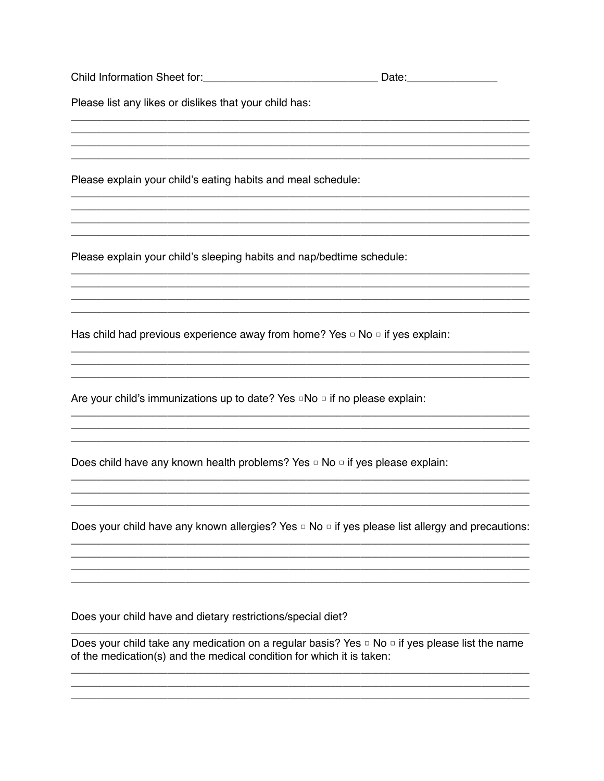| Child Information Sheet for:                                                                                                                                                      | Date: |
|-----------------------------------------------------------------------------------------------------------------------------------------------------------------------------------|-------|
| Please list any likes or dislikes that your child has:                                                                                                                            |       |
|                                                                                                                                                                                   |       |
| Please explain your child's eating habits and meal schedule:                                                                                                                      |       |
| Please explain your child's sleeping habits and nap/bedtime schedule:                                                                                                             |       |
| Has child had previous experience away from home? Yes $\Box$ No $\Box$ if yes explain:                                                                                            |       |
| Are your child's immunizations up to date? Yes $\Box$ No $\Box$ if no please explain:                                                                                             |       |
| Does child have any known health problems? Yes $\square$ No $\square$ if yes please explain:                                                                                      |       |
| Does your child have any known allergies? Yes $\Box$ No $\Box$ if yes please list allergy and precautions:                                                                        |       |
|                                                                                                                                                                                   |       |
| Does your child have and dietary restrictions/special diet?                                                                                                                       |       |
| Does your child take any medication on a regular basis? Yes $\Box$ No $\Box$ if yes please list the name<br>of the medication(s) and the medical condition for which it is taken: |       |